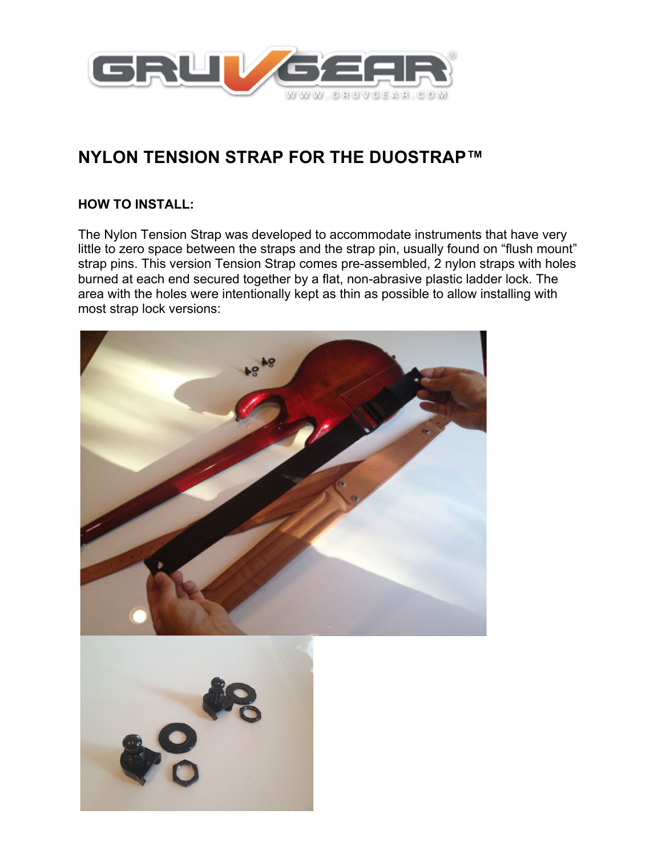

## **NYLON TENSION STRAP FOR THE DUOSTRAP™**

## **HOW TO INSTALL:**

The Nylon Tension Strap was developed to accommodate instruments that have very little to zero space between the straps and the strap pin, usually found on "flush mount" strap pins. This version Tension Strap comes pre-assembled, 2 nylon straps with holes burned at each end secured together by a flat, non-abrasive plastic ladder lock. The area with the holes were intentionally kept as thin as possible to allow installing with most strap lock versions:



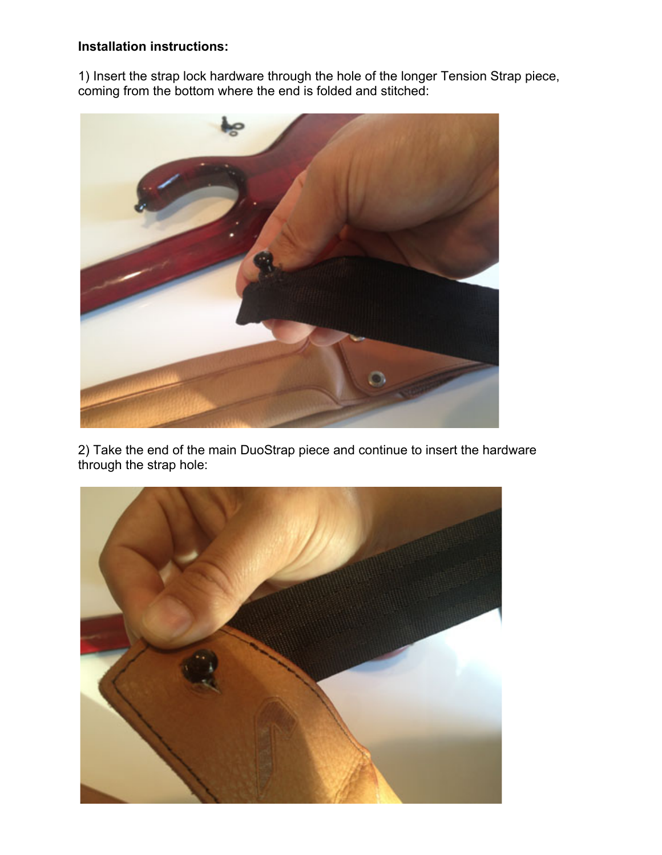## **Installation instructions:**

1) Insert the strap lock hardware through the hole of the longer Tension Strap piece, coming from the bottom where the end is folded and stitched:



2) Take the end of the main DuoStrap piece and continue to insert the hardware through the strap hole:

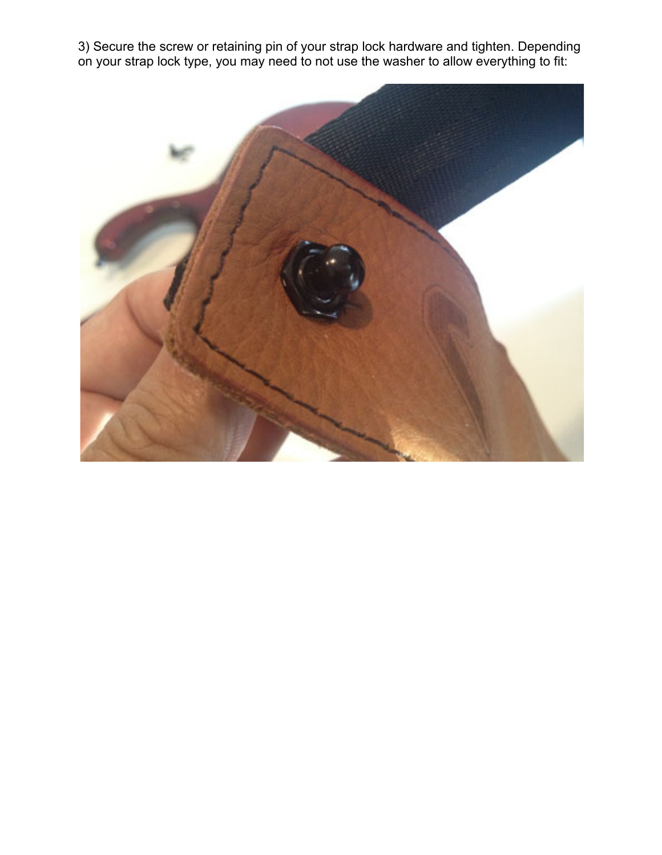3) Secure the screw or retaining pin of your strap lock hardware and tighten. Depending on your strap lock type, you may need to not use the washer to allow everything to fit:

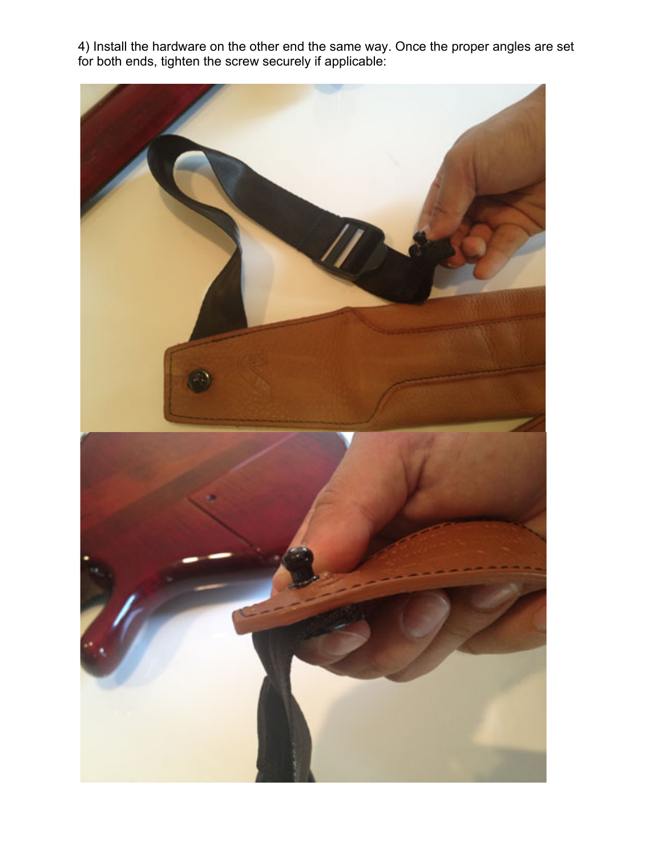4) Install the hardware on the other end the same way. Once the proper angles are set for both ends, tighten the screw securely if applicable:

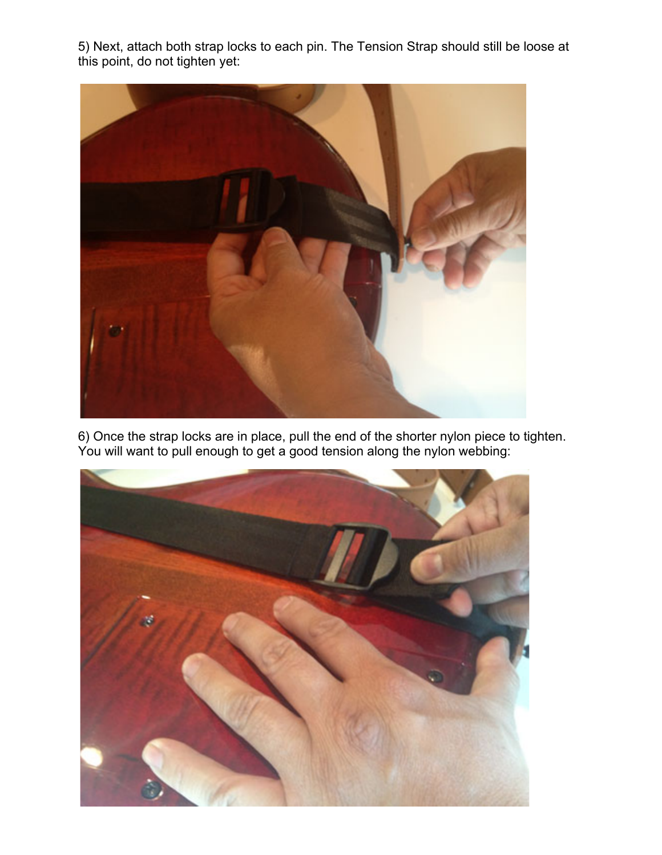5) Next, attach both strap locks to each pin. The Tension Strap should still be loose at this point, do not tighten yet:



6) Once the strap locks are in place, pull the end of the shorter nylon piece to tighten. You will want to pull enough to get a good tension along the nylon webbing:

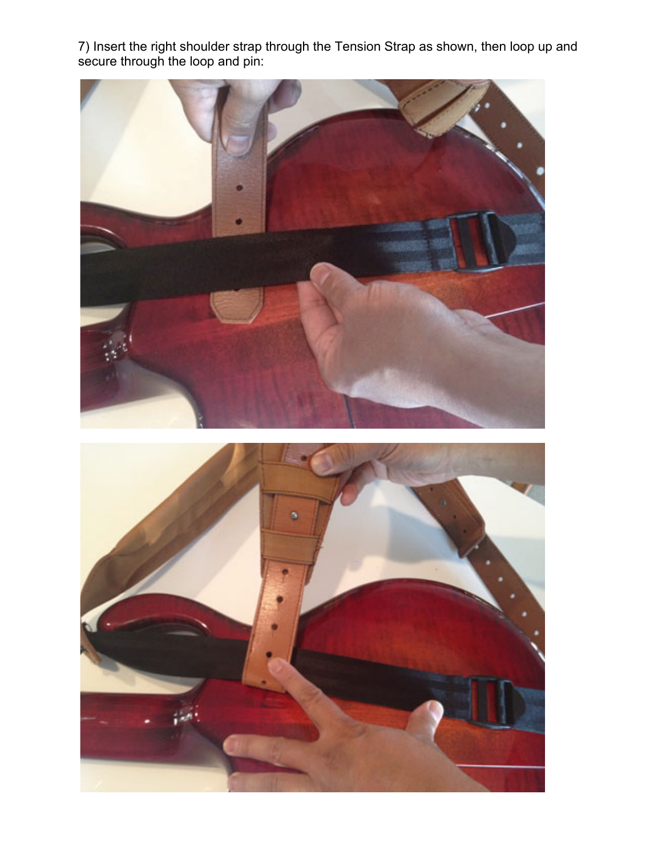7) Insert the right shoulder strap through the Tension Strap as shown, then loop up and secure through the loop and pin: